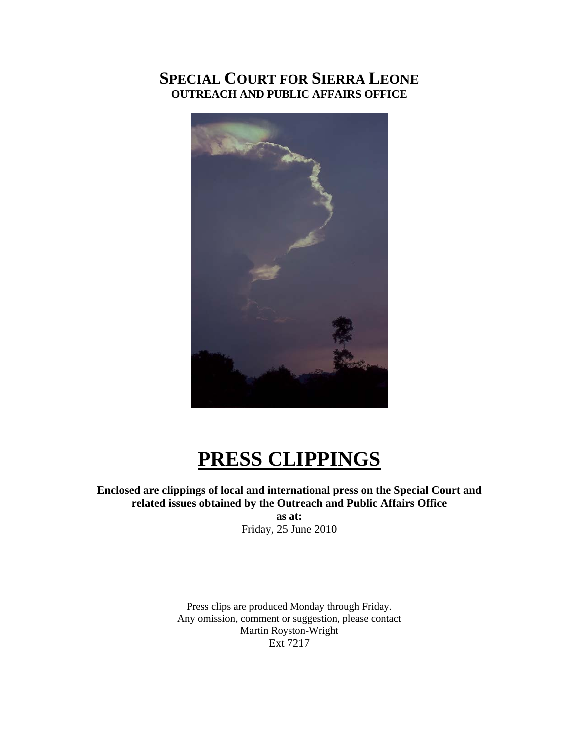# **SPECIAL COURT FOR SIERRA LEONE OUTREACH AND PUBLIC AFFAIRS OFFICE**



# **PRESS CLIPPINGS**

**Enclosed are clippings of local and international press on the Special Court and related issues obtained by the Outreach and Public Affairs Office as at:**  Friday, 25 June 2010

> Press clips are produced Monday through Friday. Any omission, comment or suggestion, please contact Martin Royston-Wright Ext 7217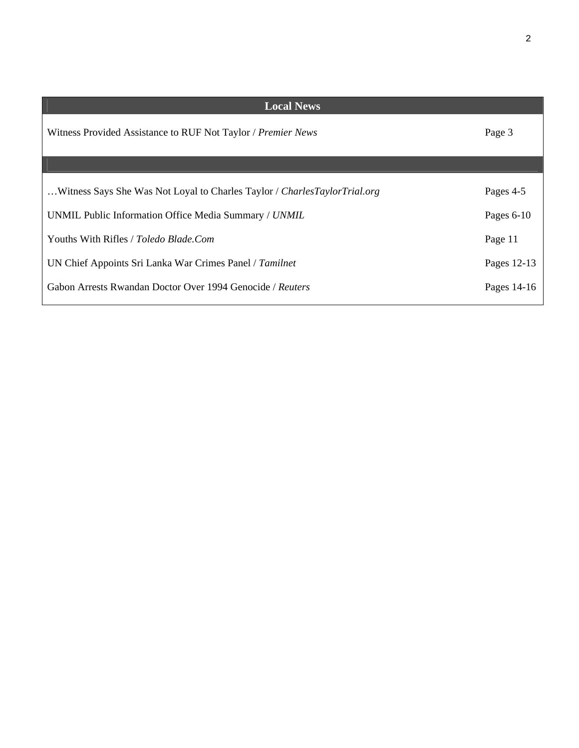| <b>Local News</b>                                                           |           |  |
|-----------------------------------------------------------------------------|-----------|--|
| Witness Provided Assistance to RUF Not Taylor / Premier News                |           |  |
|                                                                             |           |  |
| Witness Says She Was Not Loyal to Charles Taylor / Charles Taylor Trial.org | Pages 4-5 |  |
| UNMIL Public Information Office Media Summary / UNMIL                       |           |  |
| Youths With Rifles / <i>Toledo Blade.Com</i>                                |           |  |
| UN Chief Appoints Sri Lanka War Crimes Panel / Tamilnet                     |           |  |
| Gabon Arrests Rwandan Doctor Over 1994 Genocide / Reuters                   |           |  |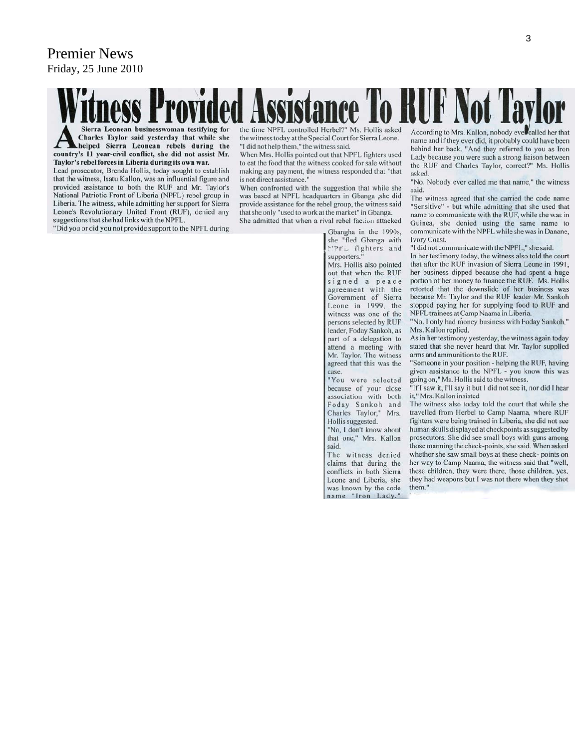# Premier News Friday, 25 June 2010

ness Provided Assistance To RUF Not Taylor the time NPFL controlled Herbel?" Ms. Hollis asked the witness today at the Special Court for Sierra Leone. "I did not help them," the witness said.

When Mrs. Hollis pointed out that NPFL fighters used to eat the food that the witness cooked for sale without making any payment, the witness responded that "that is not direct assistance.'

When confronted with the suggestion that while she was based at NPFL headquarters in Gbanga ,she did provide assistance for the rebel group, the witness said that she only "used to work at the market" in Gbanga.

She admitted that when a rival rebel faction attacked

Gbangha in the 1990s, she "fled Gbanga with MPFL fighters and supporters."

Mrs. Hollis also pointed out that when the RUF signed a peace agreement with the Government of Sierra Leone in 1999, the witness was one of the persons selected by RUF leader, Foday Sankoh, as part of a delegation to attend a meeting with Mr. Taylor. The witness agreed that this was the case.

"You were selected because of your close association with both Foday Sankoh and<br>Charles Taylor," Mrs. Hollis suggested.

"No. I don't know about that one," Mrs. Kallon said.

The witness denied claims that during the conflicts in both Sierra Leone and Liberia, she was known by the code name "Iron Lady."

According to Mrs. Kallon, nobody ever called her that name and if they ever did, it probably could have been behind her back. "And they referred to you as Iron Lady because you were such a strong liaison between the RUF and Charles Taylor, correct?" Ms. Hollis asked.

"No. Nobody ever called me that name," the witness said.

The witness agreed that she carried the code name "Sensitive" - but while admitting that she used that name to communicate with the RUF, while she was in Guinea, she denied using the same name to communicate with the NPFL while she was in Danane, **Ivory Coast.** 

"I did not communicate with the NPFL," she said.

In her testimony today, the witness also told the court that after the RUF invasion of Sierra Leone in 1991, her business dipped because she had spent a huge portion of her money to finance the RUF. Ms. Hollis retorted that the downslide of her business was because Mr. Taylor and the RUF leader Mr. Sankoh stopped paying her for supplying food to RUF and NPFL trainees at Camp Naama in Liberia.

"No. I only had money business with Foday Sankoh," Mrs. Kallon replied.

As in her testimony yesterday, the witness again today stated that she never heard that Mr. Taylor supplied arms and ammunition to the RUF.

"Someone in your position - helping the RUF, having given assistance to the NPFL - you know this was going on," Ms. Hollis said to the witness.<br>"If I saw it, I'll say it but I did not see it, nor did I hear

it," Mrs. Kallon insisted

The witness also today told the court that while she travelled from Herbel to Camp Naama, where RUF fighters were being trained in Liberia, she did not see human skulls displayed at checkpoints as suggested by prosecutors. She did see small boys with guns among those manning the check-points, she said. When asked whether she saw small boys at these check- points on her way to Camp Naama, the witness said that "well, these children, they were there, those children, yes, they had weapons but I was not there when they shot them."

Sierra Leonean businesswoman testifying for Charles Taylor said yesterday that while she helped Sierra Leonean rebels during the country's 11 year-civil conflict, she did not assist Mr. Taylor's rebel forces in Liberia during its own war.

Lead prosecutor, Brenda Hollis, today sought to establish that the witness, Isatu Kallon, was an influential figure and provided assistance to both the RUF and Mr. Taylor's National Patriotic Front of Liberia (NPFL) rebel group in Liberia. The witness, while admitting her support for Sierra Leone's Revolutionary United Front (RUF), denied any suggestions that she had links with the NPFL.

"Did you or did you not provide support to the NPFL during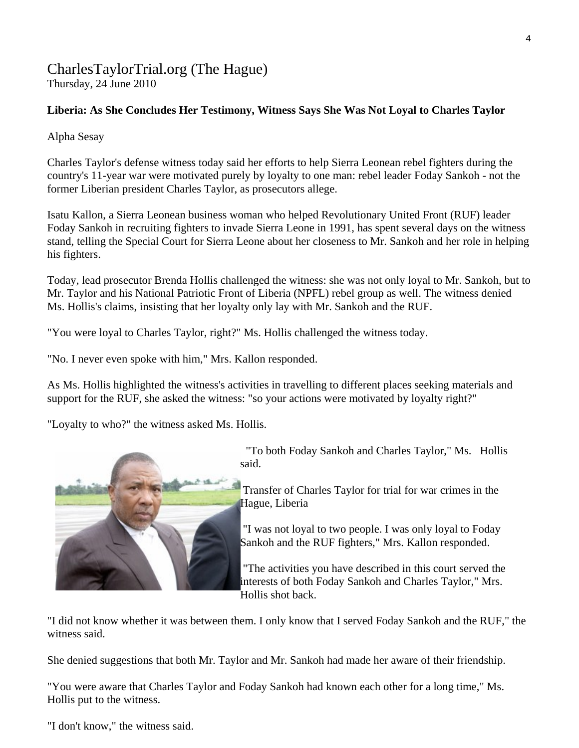# [CharlesTaylorTrial.org](http://www.charlestaylortrial.org/about/) (The Hague) Thursday, 24 June 2010

# **[Liberia:](http://allafrica.com/liberia/) As She Concludes Her Testimony, Witness Says She Was Not Loyal to Charles Taylor**

Alpha Sesay

Charles Taylor's defense witness today said her efforts to help Sierra Leonean rebel fighters during the country's 11-year war were motivated purely by loyalty to one man: rebel leader Foday Sankoh - not the former Liberian president Charles Taylor, as prosecutors allege.

Isatu Kallon, a Sierra Leonean business woman who helped Revolutionary United Front (RUF) leader Foday Sankoh in recruiting fighters to invade Sierra Leone in 1991, has spent several days on the witness stand, telling the Special Court for Sierra Leone about her closeness to Mr. Sankoh and her role in helping his fighters.

Today, lead prosecutor Brenda Hollis challenged the witness: she was not only loyal to Mr. Sankoh, but to Mr. Taylor and his National Patriotic Front of Liberia (NPFL) rebel group as well. The witness denied Ms. Hollis's claims, insisting that her loyalty only lay with Mr. Sankoh and the RUF.

"You were loyal to Charles Taylor, right?" Ms. Hollis challenged the witness today.

"No. I never even spoke with him," Mrs. Kallon responded.

As Ms. Hollis highlighted the witness's activities in travelling to different places seeking materials and support for the RUF, she asked the witness: "so your actions were motivated by loyalty right?"

"Loyalty to who?" the witness asked Ms. Hollis.



 "To both Foday Sankoh and Charles Taylor," Ms. Hollis said.

 Transfer of Charles Taylor for trial for war crimes in the Hague, Liberia

 "I was not loyal to two people. I was only loyal to Foday Sankoh and the RUF fighters," Mrs. Kallon responded.

 "The activities you have described in this court served the interests of both Foday Sankoh and Charles Taylor," Mrs. Hollis shot back.

"I did not know whether it was between them. I only know that I served Foday Sankoh and the RUF," the witness said.

She denied suggestions that both Mr. Taylor and Mr. Sankoh had made her aware of their friendship.

"You were aware that Charles Taylor and Foday Sankoh had known each other for a long time," Ms. Hollis put to the witness.

"I don't know," the witness said.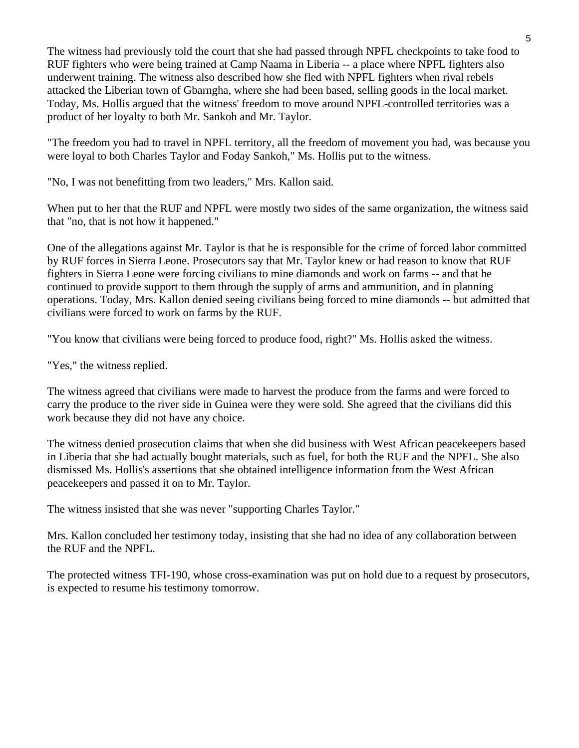The witness had previously told the court that she had passed through NPFL checkpoints to take food to RUF fighters who were being trained at Camp Naama in Liberia -- a place where NPFL fighters also underwent training. The witness also described how she fled with NPFL fighters when rival rebels attacked the Liberian town of Gbarngha, where she had been based, selling goods in the local market. Today, Ms. Hollis argued that the witness' freedom to move around NPFL-controlled territories was a product of her loyalty to both Mr. Sankoh and Mr. Taylor.

"The freedom you had to travel in NPFL territory, all the freedom of movement you had, was because you were loyal to both Charles Taylor and Foday Sankoh," Ms. Hollis put to the witness.

"No, I was not benefitting from two leaders," Mrs. Kallon said.

When put to her that the RUF and NPFL were mostly two sides of the same organization, the witness said that "no, that is not how it happened."

One of the allegations against Mr. Taylor is that he is responsible for the crime of forced labor committed by RUF forces in Sierra Leone. Prosecutors say that Mr. Taylor knew or had reason to know that RUF fighters in Sierra Leone were forcing civilians to mine diamonds and work on farms -- and that he continued to provide support to them through the supply of arms and ammunition, and in planning operations. Today, Mrs. Kallon denied seeing civilians being forced to mine diamonds -- but admitted that civilians were forced to work on farms by the RUF.

"You know that civilians were being forced to produce food, right?" Ms. Hollis asked the witness.

"Yes," the witness replied.

The witness agreed that civilians were made to harvest the produce from the farms and were forced to carry the produce to the river side in Guinea were they were sold. She agreed that the civilians did this work because they did not have any choice.

The witness denied prosecution claims that when she did business with West African peacekeepers based in Liberia that she had actually bought materials, such as fuel, for both the RUF and the NPFL. She also dismissed Ms. Hollis's assertions that she obtained intelligence information from the West African peacekeepers and passed it on to Mr. Taylor.

The witness insisted that she was never "supporting Charles Taylor."

Mrs. Kallon concluded her testimony today, insisting that she had no idea of any collaboration between the RUF and the NPFL.

The protected witness TFI-190, whose cross-examination was put on hold due to a request by prosecutors, is expected to resume his testimony tomorrow.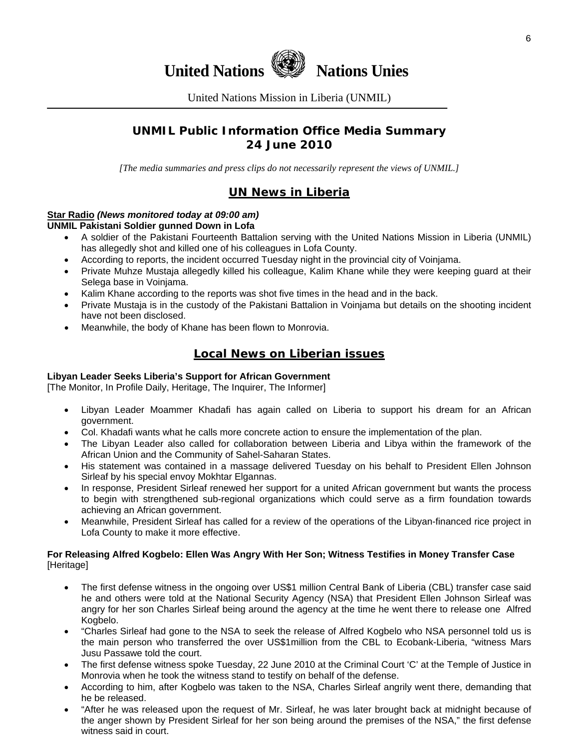

United Nations Mission in Liberia (UNMIL)

# **UNMIL Public Information Office Media Summary 24 June 2010**

*[The media summaries and press clips do not necessarily represent the views of UNMIL.]* 

# **UN News in Liberia**

#### **Star Radio** *(News monitored today at 09:00 am)* **UNMIL Pakistani Soldier gunned Down in Lofa**

- A soldier of the Pakistani Fourteenth Battalion serving with the United Nations Mission in Liberia (UNMIL) has allegedly shot and killed one of his colleagues in Lofa County.
- According to reports, the incident occurred Tuesday night in the provincial city of Voinjama.
- Private Muhze Mustaja allegedly killed his colleague, Kalim Khane while they were keeping guard at their Selega base in Voinjama.
- Kalim Khane according to the reports was shot five times in the head and in the back.
- Private Mustaja is in the custody of the Pakistani Battalion in Voinjama but details on the shooting incident have not been disclosed.
- Meanwhile, the body of Khane has been flown to Monrovia.

# **Local News on Liberian issues**

### **Libyan Leader Seeks Liberia's Support for African Government**

[The Monitor, In Profile Daily, Heritage, The Inquirer, The Informer]

- Libyan Leader Moammer Khadafi has again called on Liberia to support his dream for an African government.
- Col. Khadafi wants what he calls more concrete action to ensure the implementation of the plan.
- The Libyan Leader also called for collaboration between Liberia and Libya within the framework of the African Union and the Community of Sahel-Saharan States.
- His statement was contained in a massage delivered Tuesday on his behalf to President Ellen Johnson Sirleaf by his special envoy Mokhtar Elgannas.
- In response, President Sirleaf renewed her support for a united African government but wants the process to begin with strengthened sub-regional organizations which could serve as a firm foundation towards achieving an African government.
- Meanwhile, President Sirleaf has called for a review of the operations of the Libyan-financed rice project in Lofa County to make it more effective.

### **For Releasing Alfred Kogbelo: Ellen Was Angry With Her Son; Witness Testifies in Money Transfer Case**  [Heritage]

- The first defense witness in the ongoing over US\$1 million Central Bank of Liberia (CBL) transfer case said he and others were told at the National Security Agency (NSA) that President Ellen Johnson Sirleaf was angry for her son Charles Sirleaf being around the agency at the time he went there to release one Alfred Kogbelo.
- "Charles Sirleaf had gone to the NSA to seek the release of Alfred Kogbelo who NSA personnel told us is the main person who transferred the over US\$1million from the CBL to Ecobank-Liberia, "witness Mars Jusu Passawe told the court.
- The first defense witness spoke Tuesday, 22 June 2010 at the Criminal Court 'C' at the Temple of Justice in Monrovia when he took the witness stand to testify on behalf of the defense.
- According to him, after Kogbelo was taken to the NSA, Charles Sirleaf angrily went there, demanding that he be released.
- "After he was released upon the request of Mr. Sirleaf, he was later brought back at midnight because of the anger shown by President Sirleaf for her son being around the premises of the NSA," the first defense witness said in court.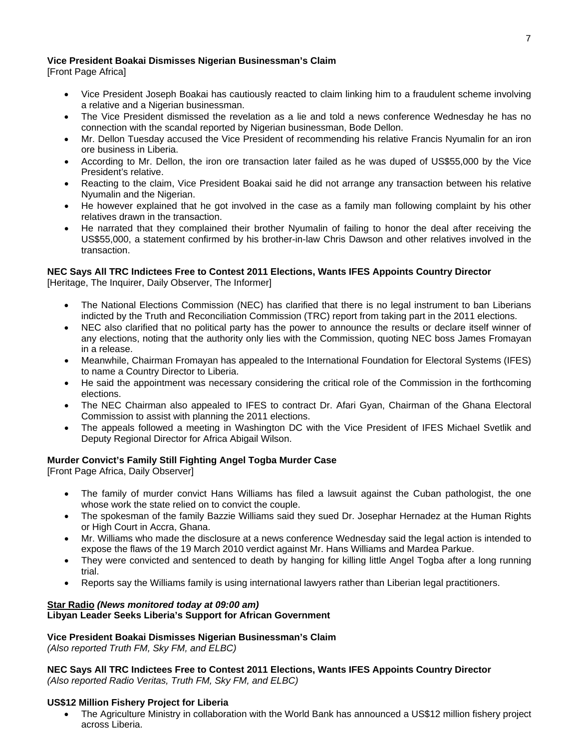### **Vice President Boakai Dismisses Nigerian Businessman's Claim**

[Front Page Africa]

- Vice President Joseph Boakai has cautiously reacted to claim linking him to a fraudulent scheme involving a relative and a Nigerian businessman.
- The Vice President dismissed the revelation as a lie and told a news conference Wednesday he has no connection with the scandal reported by Nigerian businessman, Bode Dellon.
- Mr. Dellon Tuesday accused the Vice President of recommending his relative Francis Nyumalin for an iron ore business in Liberia.
- According to Mr. Dellon, the iron ore transaction later failed as he was duped of US\$55,000 by the Vice President's relative.
- Reacting to the claim, Vice President Boakai said he did not arrange any transaction between his relative Nyumalin and the Nigerian.
- He however explained that he got involved in the case as a family man following complaint by his other relatives drawn in the transaction.
- He narrated that they complained their brother Nyumalin of failing to honor the deal after receiving the US\$55,000, a statement confirmed by his brother-in-law Chris Dawson and other relatives involved in the transaction.

### **NEC Says All TRC Indictees Free to Contest 2011 Elections, Wants IFES Appoints Country Director**

[Heritage, The Inquirer, Daily Observer, The Informer]

- The National Elections Commission (NEC) has clarified that there is no legal instrument to ban Liberians indicted by the Truth and Reconciliation Commission (TRC) report from taking part in the 2011 elections.
- NEC also clarified that no political party has the power to announce the results or declare itself winner of any elections, noting that the authority only lies with the Commission, quoting NEC boss James Fromayan in a release.
- Meanwhile, Chairman Fromayan has appealed to the International Foundation for Electoral Systems (IFES) to name a Country Director to Liberia.
- He said the appointment was necessary considering the critical role of the Commission in the forthcoming elections.
- The NEC Chairman also appealed to IFES to contract Dr. Afari Gyan, Chairman of the Ghana Electoral Commission to assist with planning the 2011 elections.
- The appeals followed a meeting in Washington DC with the Vice President of IFES Michael Svetlik and Deputy Regional Director for Africa Abigail Wilson.

# **Murder Convict's Family Still Fighting Angel Togba Murder Case**

[Front Page Africa, Daily Observer]

- The family of murder convict Hans Williams has filed a lawsuit against the Cuban pathologist, the one whose work the state relied on to convict the couple.
- The spokesman of the family Bazzie Williams said they sued Dr. Josephar Hernadez at the Human Rights or High Court in Accra, Ghana.
- Mr. Williams who made the disclosure at a news conference Wednesday said the legal action is intended to expose the flaws of the 19 March 2010 verdict against Mr. Hans Williams and Mardea Parkue.
- They were convicted and sentenced to death by hanging for killing little Angel Togba after a long running trial.
- Reports say the Williams family is using international lawyers rather than Liberian legal practitioners.

### **Star Radio** *(News monitored today at 09:00 am)* **Libyan Leader Seeks Liberia's Support for African Government**

# **Vice President Boakai Dismisses Nigerian Businessman's Claim**

*(Also reported Truth FM, Sky FM, and ELBC)*

**NEC Says All TRC Indictees Free to Contest 2011 Elections, Wants IFES Appoints Country Director**  *(Also reported Radio Veritas, Truth FM, Sky FM, and ELBC)*

### **US\$12 Million Fishery Project for Liberia**

• The Agriculture Ministry in collaboration with the World Bank has announced a US\$12 million fishery project across Liberia.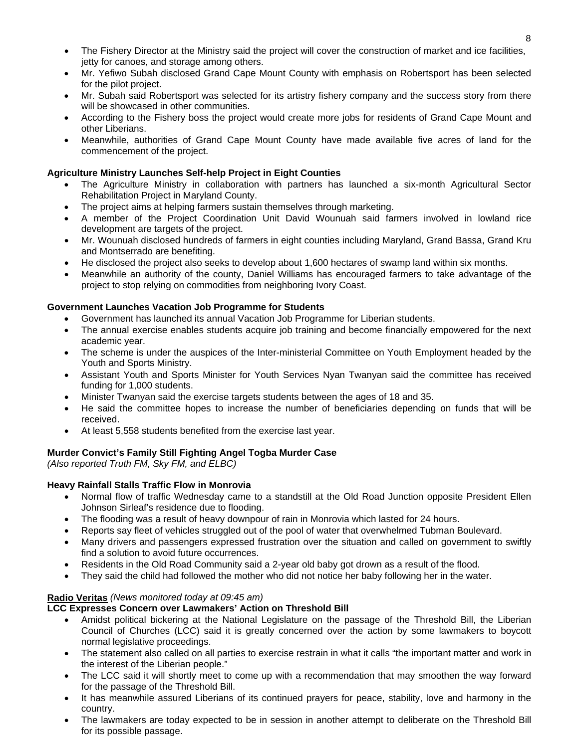- The Fishery Director at the Ministry said the project will cover the construction of market and ice facilities, jetty for canoes, and storage among others.
- Mr. Yefiwo Subah disclosed Grand Cape Mount County with emphasis on Robertsport has been selected for the pilot project.
- Mr. Subah said Robertsport was selected for its artistry fishery company and the success story from there will be showcased in other communities.
- According to the Fishery boss the project would create more jobs for residents of Grand Cape Mount and other Liberians.
- Meanwhile, authorities of Grand Cape Mount County have made available five acres of land for the commencement of the project.

### **Agriculture Ministry Launches Self-help Project in Eight Counties**

- The Agriculture Ministry in collaboration with partners has launched a six-month Agricultural Sector Rehabilitation Project in Maryland County.
- The project aims at helping farmers sustain themselves through marketing.
- A member of the Project Coordination Unit David Wounuah said farmers involved in lowland rice development are targets of the project.
- Mr. Wounuah disclosed hundreds of farmers in eight counties including Maryland, Grand Bassa, Grand Kru and Montserrado are benefiting.
- He disclosed the project also seeks to develop about 1,600 hectares of swamp land within six months.
- Meanwhile an authority of the county, Daniel Williams has encouraged farmers to take advantage of the project to stop relying on commodities from neighboring Ivory Coast.

### **Government Launches Vacation Job Programme for Students**

- Government has launched its annual Vacation Job Programme for Liberian students.
- The annual exercise enables students acquire job training and become financially empowered for the next academic year.
- The scheme is under the auspices of the Inter-ministerial Committee on Youth Employment headed by the Youth and Sports Ministry.
- Assistant Youth and Sports Minister for Youth Services Nyan Twanyan said the committee has received funding for 1,000 students.
- Minister Twanyan said the exercise targets students between the ages of 18 and 35.
- He said the committee hopes to increase the number of beneficiaries depending on funds that will be received.
- At least 5,558 students benefited from the exercise last year.

# **Murder Convict's Family Still Fighting Angel Togba Murder Case**

*(Also reported Truth FM, Sky FM, and ELBC)*

# **Heavy Rainfall Stalls Traffic Flow in Monrovia**

- Normal flow of traffic Wednesday came to a standstill at the Old Road Junction opposite President Ellen Johnson Sirleaf's residence due to flooding.
- The flooding was a result of heavy downpour of rain in Monrovia which lasted for 24 hours.
- Reports say fleet of vehicles struggled out of the pool of water that overwhelmed Tubman Boulevard.
- Many drivers and passengers expressed frustration over the situation and called on government to swiftly find a solution to avoid future occurrences.
- Residents in the Old Road Community said a 2-year old baby got drown as a result of the flood.
- They said the child had followed the mother who did not notice her baby following her in the water.

### **Radio Veritas** *(News monitored today at 09:45 am)*

# **LCC Expresses Concern over Lawmakers' Action on Threshold Bill**

- Amidst political bickering at the National Legislature on the passage of the Threshold Bill, the Liberian Council of Churches (LCC) said it is greatly concerned over the action by some lawmakers to boycott normal legislative proceedings.
- The statement also called on all parties to exercise restrain in what it calls "the important matter and work in the interest of the Liberian people."
- The LCC said it will shortly meet to come up with a recommendation that may smoothen the way forward for the passage of the Threshold Bill.
- It has meanwhile assured Liberians of its continued prayers for peace, stability, love and harmony in the country.
- The lawmakers are today expected to be in session in another attempt to deliberate on the Threshold Bill for its possible passage.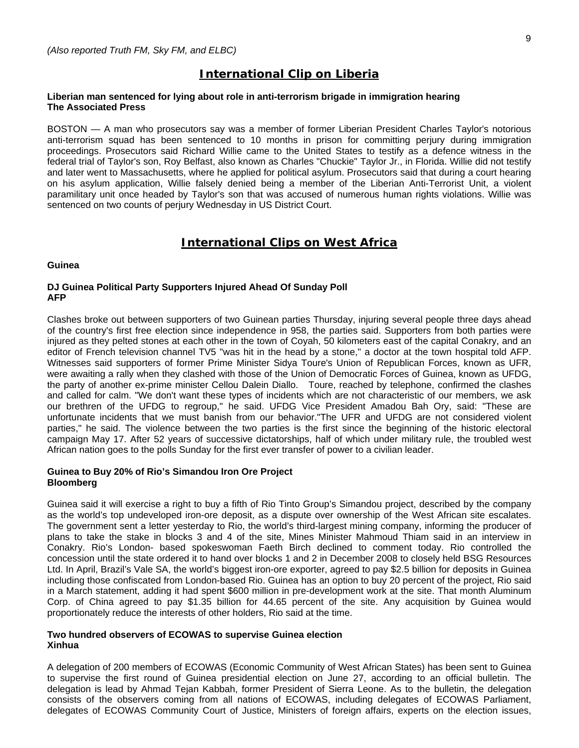### **International Clip on Liberia**

#### **Liberian man sentenced for lying about role in anti-terrorism brigade in immigration hearing The Associated Press**

BOSTON — A man who prosecutors say was a member of former Liberian President Charles Taylor's notorious anti-terrorism squad has been sentenced to 10 months in prison for committing perjury during immigration proceedings. Prosecutors said Richard Willie came to the United States to testify as a defence witness in the federal trial of Taylor's son, Roy Belfast, also known as Charles "Chuckie" Taylor Jr., in Florida. Willie did not testify and later went to Massachusetts, where he applied for political asylum. Prosecutors said that during a court hearing on his asylum application, Willie falsely denied being a member of the Liberian Anti-Terrorist Unit, a violent paramilitary unit once headed by Taylor's son that was accused of numerous human rights violations. Willie was sentenced on two counts of perjury Wednesday in US District Court.

### **International Clips on West Africa**

### **Guinea**

#### **DJ Guinea Political Party Supporters Injured Ahead Of Sunday Poll AFP**

Clashes broke out between supporters of two Guinean parties Thursday, injuring several people three days ahead of the country's first free election since independence in 958, the parties said. Supporters from both parties were injured as they pelted stones at each other in the town of Coyah, 50 kilometers east of the capital Conakry, and an editor of French television channel TV5 "was hit in the head by a stone," a doctor at the town hospital told AFP. Witnesses said supporters of former Prime Minister Sidya Toure's Union of Republican Forces, known as UFR, were awaiting a rally when they clashed with those of the Union of Democratic Forces of Guinea, known as UFDG, the party of another ex-prime minister Cellou Dalein Diallo. Toure, reached by telephone, confirmed the clashes and called for calm. "We don't want these types of incidents which are not characteristic of our members, we ask our brethren of the UFDG to regroup," he said. UFDG Vice President Amadou Bah Ory, said: "These are unfortunate incidents that we must banish from our behavior."The UFR and UFDG are not considered violent parties," he said. The violence between the two parties is the first since the beginning of the historic electoral campaign May 17. After 52 years of successive dictatorships, half of which under military rule, the troubled west African nation goes to the polls Sunday for the first ever transfer of power to a civilian leader.

#### **Guinea to Buy 20% of Rio's Simandou Iron Ore Project Bloomberg**

Guinea said it will exercise a right to buy a fifth of Rio Tinto Group's Simandou project, described by the company as the world's top undeveloped iron-ore deposit, as a dispute over ownership of the West African site escalates. The government sent a letter yesterday to Rio, the world's third-largest mining company, informing the producer of plans to take the stake in blocks 3 and 4 of the site, Mines Minister Mahmoud Thiam said in an interview in Conakry. Rio's London- based spokeswoman Faeth Birch declined to comment today. Rio controlled the concession until the state ordered it to hand over blocks 1 and 2 in December 2008 to closely held BSG Resources Ltd. In April, Brazil's Vale SA, the world's biggest iron-ore exporter, agreed to pay \$2.5 billion for deposits in Guinea including those confiscated from London-based Rio. Guinea has an option to buy 20 percent of the project, Rio said in a March statement, adding it had spent \$600 million in pre-development work at the site. That month Aluminum Corp. of China agreed to pay \$1.35 billion for 44.65 percent of the site. Any acquisition by Guinea would proportionately reduce the interests of other holders, Rio said at the time.

#### **Two hundred observers of ECOWAS to supervise Guinea election Xinhua**

A delegation of 200 members of ECOWAS (Economic Community of West African States) has been sent to Guinea to supervise the first round of Guinea presidential election on June 27, according to an official bulletin. The delegation is lead by Ahmad Tejan Kabbah, former President of Sierra Leone. As to the bulletin, the delegation consists of the observers coming from all nations of ECOWAS, including delegates of ECOWAS Parliament, delegates of ECOWAS Community Court of Justice, Ministers of foreign affairs, experts on the election issues,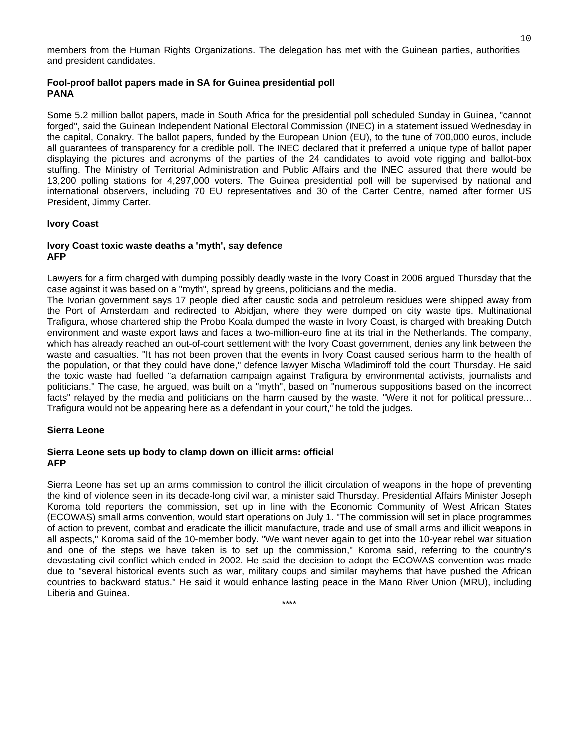members from the Human Rights Organizations. The delegation has met with the Guinean parties, authorities and president candidates.

#### **Fool-proof ballot papers made in SA for Guinea presidential poll PANA**

Some 5.2 million ballot papers, made in South Africa for the presidential poll scheduled Sunday in Guinea, "cannot forged", said the Guinean Independent National Electoral Commission (INEC) in a statement issued Wednesday in the capital, Conakry. The ballot papers, funded by the European Union (EU), to the tune of 700,000 euros, include all guarantees of transparency for a credible poll. The INEC declared that it preferred a unique type of ballot paper displaying the pictures and acronyms of the parties of the 24 candidates to avoid vote rigging and ballot-box stuffing. The Ministry of Territorial Administration and Public Affairs and the INEC assured that there would be 13,200 polling stations for 4,297,000 voters. The Guinea presidential poll will be supervised by national and international observers, including 70 EU representatives and 30 of the Carter Centre, named after former US President, Jimmy Carter.

#### **Ivory Coast**

#### **Ivory Coast toxic waste deaths a 'myth', say defence AFP**

Lawyers for a firm charged with dumping possibly deadly waste in the Ivory Coast in 2006 argued Thursday that the case against it was based on a "myth", spread by greens, politicians and the media.

The Ivorian government says 17 people died after caustic soda and petroleum residues were shipped away from the Port of Amsterdam and redirected to Abidjan, where they were dumped on city waste tips. Multinational Trafigura, whose chartered ship the Probo Koala dumped the waste in Ivory Coast, is charged with breaking Dutch environment and waste export laws and faces a two-million-euro fine at its trial in the Netherlands. The company, which has already reached an out-of-court settlement with the Ivory Coast government, denies any link between the waste and casualties. "It has not been proven that the events in Ivory Coast caused serious harm to the health of the population, or that they could have done," defence lawyer Mischa Wladimiroff told the court Thursday. He said the toxic waste had fuelled "a defamation campaign against Trafigura by environmental activists, journalists and politicians." The case, he argued, was built on a "myth", based on "numerous suppositions based on the incorrect facts" relayed by the media and politicians on the harm caused by the waste. "Were it not for political pressure... Trafigura would not be appearing here as a defendant in your court," he told the judges.

#### **Sierra Leone**

#### **Sierra Leone sets up body to clamp down on illicit arms: official AFP**

Sierra Leone has set up an arms commission to control the illicit circulation of weapons in the hope of preventing the kind of violence seen in its decade-long civil war, a minister said Thursday. Presidential Affairs Minister Joseph Koroma told reporters the commission, set up in line with the Economic Community of West African States (ECOWAS) small arms convention, would start operations on July 1. "The commission will set in place programmes of action to prevent, combat and eradicate the illicit manufacture, trade and use of small arms and illicit weapons in all aspects," Koroma said of the 10-member body. "We want never again to get into the 10-year rebel war situation and one of the steps we have taken is to set up the commission," Koroma said, referring to the country's devastating civil conflict which ended in 2002. He said the decision to adopt the ECOWAS convention was made due to "several historical events such as war, military coups and similar mayhems that have pushed the African countries to backward status." He said it would enhance lasting peace in the Mano River Union (MRU), including Liberia and Guinea.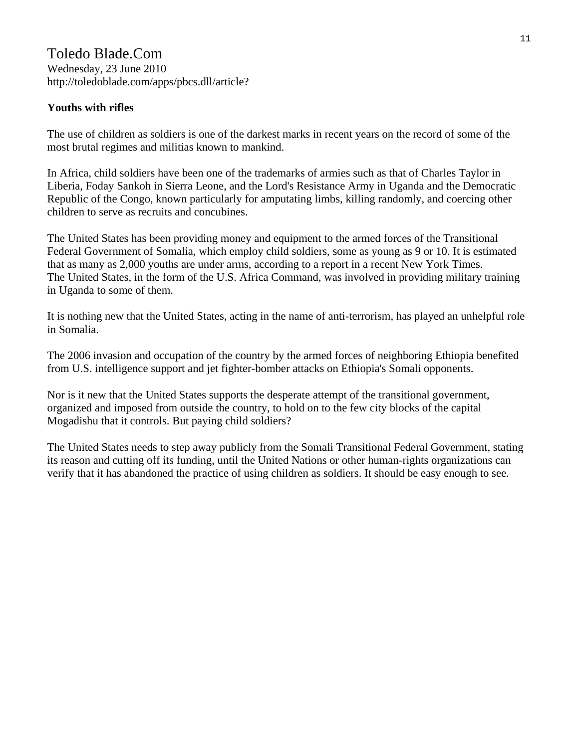Toledo Blade.Com Wednesday, 23 June 2010 http://toledoblade.com/apps/pbcs.dll/article?

# **Youths with rifles**

The use of children as soldiers is one of the darkest marks in recent years on the record of some of the most brutal regimes and militias known to mankind.

In Africa, child soldiers have been one of the trademarks of armies such as that of Charles Taylor in Liberia, Foday Sankoh in Sierra Leone, and the Lord's Resistance Army in Uganda and the Democratic Republic of the Congo, known particularly for amputating limbs, killing randomly, and coercing other children to serve as recruits and concubines.

The United States has been providing money and equipment to the armed forces of the Transitional Federal Government of Somalia, which employ child soldiers, some as young as 9 or 10. It is estimated that as many as 2,000 youths are under arms, according to a report in a recent New York Times. The United States, in the form of the U.S. Africa Command, was involved in providing military training in Uganda to some of them.

It is nothing new that the United States, acting in the name of anti-terrorism, has played an unhelpful role in Somalia.

The 2006 invasion and occupation of the country by the armed forces of neighboring Ethiopia benefited from U.S. intelligence support and jet fighter-bomber attacks on Ethiopia's Somali opponents.

Nor is it new that the United States supports the desperate attempt of the transitional government, organized and imposed from outside the country, to hold on to the few city blocks of the capital Mogadishu that it controls. But paying child soldiers?

The United States needs to step away publicly from the Somali Transitional Federal Government, stating its reason and cutting off its funding, until the United Nations or other human-rights organizations can verify that it has abandoned the practice of using children as soldiers. It should be easy enough to see.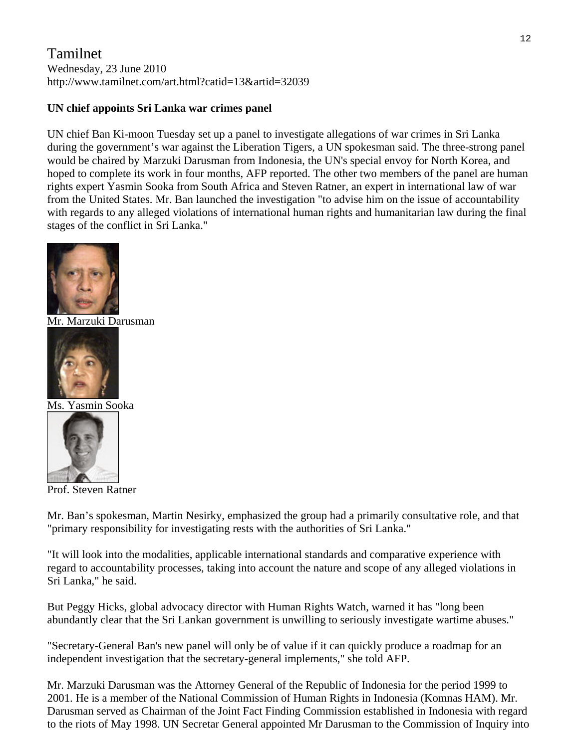# Tamilnet Wednesday, 23 June 2010 http://www.tamilnet.com/art.html?catid=13&artid=32039

# **UN chief appoints Sri Lanka war crimes panel**

UN chief Ban Ki-moon Tuesday set up a panel to investigate allegations of war crimes in Sri Lanka during the government's war against the Liberation Tigers, a UN spokesman said. The three-strong panel would be chaired by Marzuki Darusman from Indonesia, the UN's special envoy for North Korea, and hoped to complete its work in four months, AFP reported. The other two members of the panel are human rights expert Yasmin Sooka from South Africa and Steven Ratner, an expert in international law of war from the United States. Mr. Ban launched the investigation "to advise him on the issue of accountability with regards to any alleged violations of international human rights and humanitarian law during the final stages of the conflict in Sri Lanka."



[Mr. Marzuki Dar](http://www.tamilnet.com/pic.html?path=/img/publish/2010/06/yasminSooka_01.jpg&width=720&height=576&caption=Ms.%20Yasmin%20Sooka)usman



[Ms. Yasmin Soo](http://www.tamilnet.com/pic.html?path=/img/publish/2010/06/sratner_02.jpg&width=100&height=133&caption=Prof.%20Steven%20Ratner)ka



Prof. Steven Ratner

Mr. Ban's spokesman, Martin Nesirky, emphasized the group had a primarily consultative role, and that "primary responsibility for investigating rests with the authorities of Sri Lanka."

"It will look into the modalities, applicable international standards and comparative experience with regard to accountability processes, taking into account the nature and scope of any alleged violations in Sri Lanka," he said.

But Peggy Hicks, global advocacy director with Human Rights Watch, warned it has "long been abundantly clear that the Sri Lankan government is unwilling to seriously investigate wartime abuses."

"Secretary-General Ban's new panel will only be of value if it can quickly produce a roadmap for an independent investigation that the secretary-general implements," she told AFP.

Mr. Marzuki Darusman was the Attorney General of the Republic of Indonesia for the period 1999 to 2001. He is a member of the National Commission of Human Rights in Indonesia (Komnas HAM). Mr. Darusman served as Chairman of the Joint Fact Finding Commission established in Indonesia with regard to the riots of May 1998. UN Secretar General appointed Mr Darusman to the Commission of Inquiry into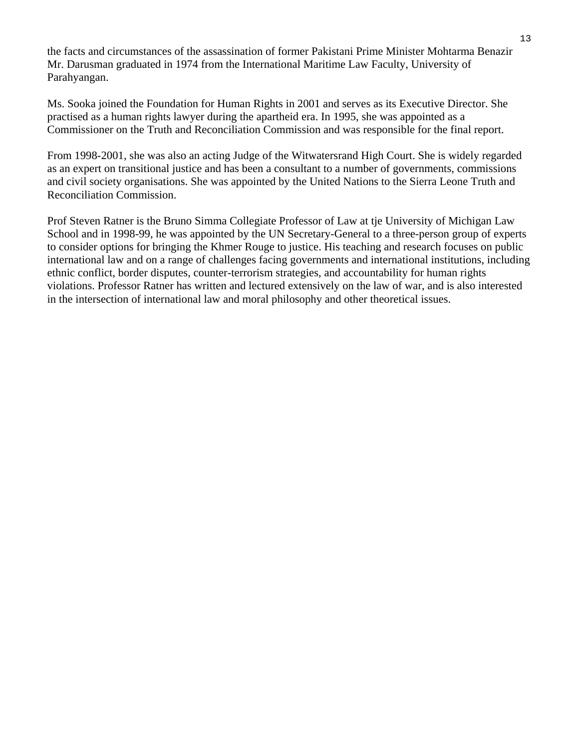the facts and circumstances of the assassination of former Pakistani Prime Minister Mohtarma Benazir Mr. Darusman graduated in 1974 from the International Maritime Law Faculty, University of Parahyangan.

Ms. Sooka joined the Foundation for Human Rights in 2001 and serves as its Executive Director. She practised as a human rights lawyer during the apartheid era. In 1995, she was appointed as a Commissioner on the Truth and Reconciliation Commission and was responsible for the final report.

From 1998-2001, she was also an acting Judge of the Witwatersrand High Court. She is widely regarded as an expert on transitional justice and has been a consultant to a number of governments, commissions and civil society organisations. She was appointed by the United Nations to the Sierra Leone Truth and Reconciliation Commission.

Prof Steven Ratner is the Bruno Simma Collegiate Professor of Law at tje University of Michigan Law School and in 1998-99, he was appointed by the UN Secretary-General to a three-person group of experts to consider options for bringing the Khmer Rouge to justice. His teaching and research focuses on public international law and on a range of challenges facing governments and international institutions, including ethnic conflict, border disputes, counter-terrorism strategies, and accountability for human rights violations. Professor Ratner has written and lectured extensively on the law of war, and is also interested in the intersection of international law and moral philosophy and other theoretical issues.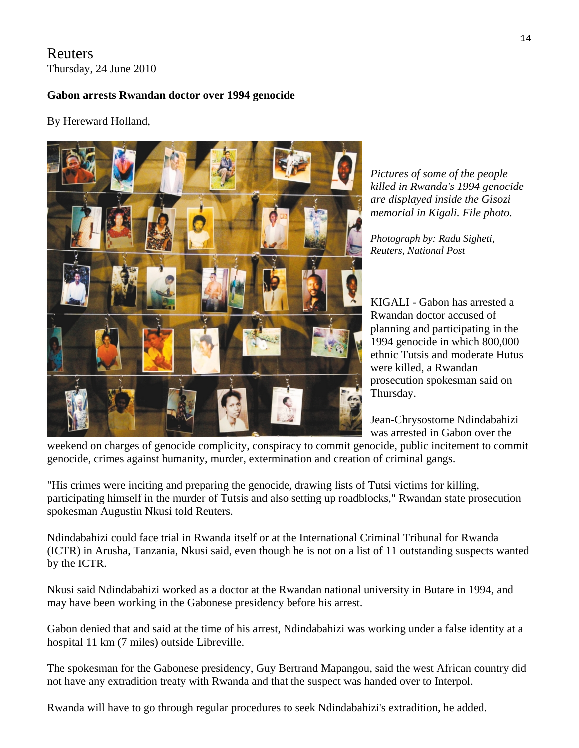# Reuters Thursday, 24 June 2010

# **Gabon arrests Rwandan doctor over 1994 genocide**

# By Hereward Holland,



*Pictures of some of the people killed in Rwanda's 1994 genocide are displayed inside the Gisozi memorial in Kigali. File photo.* 

*Photograph by: Radu Sigheti, Reuters, National Post* 

KIGALI - Gabon has arrested a Rwandan doctor accused of planning and participating in the 1994 genocide in which 800,000 ethnic Tutsis and moderate Hutus were killed, a Rwandan prosecution spokesman said on Thursday.

Jean-Chrysostome Ndindabahizi was arrested in Gabon over the

[weekend on charges of genocide complicity, conspiracy to commit gen](javascript:void(0);)ocide, public incitement to commit genocide, crimes against humanity, murder, extermination and creation of criminal gangs.

"His crimes were inciting and preparing the genocide, drawing lists of Tutsi victims for killing, participating himself in the murder of Tutsis and also setting up roadblocks," Rwandan state prosecution spokesman Augustin Nkusi told Reuters.

Ndindabahizi could face trial in Rwanda itself or at the International Criminal Tribunal for Rwanda (ICTR) in Arusha, Tanzania, Nkusi said, even though he is not on a list of 11 outstanding suspects wanted by the ICTR.

Nkusi said Ndindabahizi worked as a doctor at the Rwandan national university in Butare in 1994, and may have been working in the Gabonese presidency before his arrest.

Gabon denied that and said at the time of his arrest, Ndindabahizi was working under a false identity at a hospital 11 km (7 miles) outside Libreville.

The spokesman for the Gabonese presidency, Guy Bertrand Mapangou, said the west African country did not have any extradition treaty with Rwanda and that the suspect was handed over to Interpol.

Rwanda will have to go through regular procedures to seek Ndindabahizi's extradition, he added.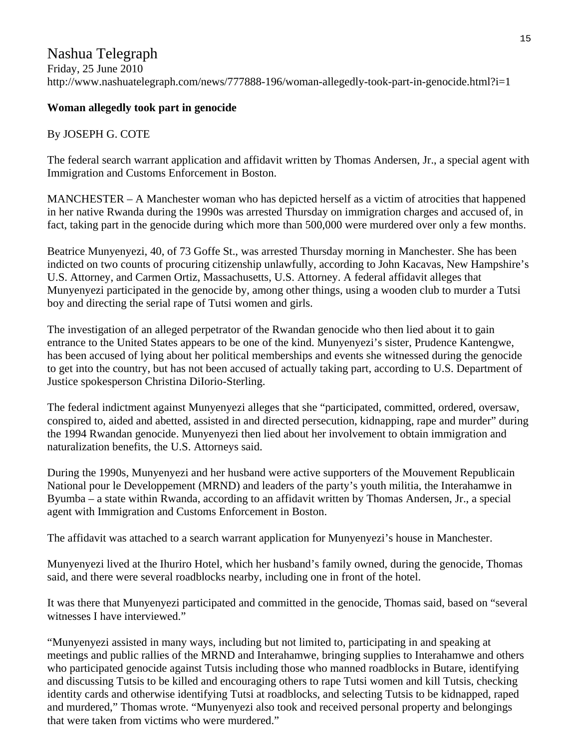# Nashua Telegraph

Friday, 25 June 2010 http://www.nashuatelegraph.com/news/777888-196/woman-allegedly-took-part-in-genocide.html?i=1

# **Woman allegedly took part in genocide**

# By JOSEPH G. COTE

The federal search warrant application and affidavit written by Thomas Andersen, Jr., a special agent with Immigration and Customs Enforcement in Boston.

MANCHESTER – A Manchester woman who has depicted herself as a victim of atrocities that happened in her native Rwanda during the 1990s was arrested Thursday on immigration charges and accused of, in fact, taking part in the genocide during which more than 500,000 were murdered over only a few months.

Beatrice Munyenyezi, 40, of 73 Goffe St., was arrested Thursday morning in Manchester. She has been indicted on two counts of procuring citizenship unlawfully, according to John Kacavas, New Hampshire's U.S. Attorney, and Carmen Ortiz, Massachusetts, U.S. Attorney. A federal affidavit alleges that Munyenyezi participated in the genocide by, among other things, using a wooden club to murder a Tutsi boy and directing the serial rape of Tutsi women and girls.

The investigation of an alleged perpetrator of the Rwandan genocide who then lied about it to gain entrance to the United States appears to be one of the kind. Munyenyezi's sister, Prudence Kantengwe, has been accused of lying about her political memberships and events she witnessed during the genocide to get into the country, but has not been accused of actually taking part, according to U.S. Department of Justice spokesperson Christina DiIorio-Sterling.

The federal indictment against Munyenyezi alleges that she "participated, committed, ordered, oversaw, conspired to, aided and abetted, assisted in and directed persecution, kidnapping, rape and murder" during the 1994 Rwandan genocide. Munyenyezi then lied about her involvement to obtain immigration and naturalization benefits, the U.S. Attorneys said.

During the 1990s, Munyenyezi and her husband were active supporters of the Mouvement Republicain National pour le Developpement (MRND) and leaders of the party's youth militia, the Interahamwe in Byumba – a state within Rwanda, according to an affidavit written by Thomas Andersen, Jr., a special agent with Immigration and Customs Enforcement in Boston.

The affidavit was attached to a search warrant application for Munyenyezi's house in Manchester.

Munyenyezi lived at the Ihuriro Hotel, which her husband's family owned, during the genocide, Thomas said, and there were several roadblocks nearby, including one in front of the hotel.

It was there that Munyenyezi participated and committed in the genocide, Thomas said, based on "several witnesses I have interviewed."

"Munyenyezi assisted in many ways, including but not limited to, participating in and speaking at meetings and public rallies of the MRND and Interahamwe, bringing supplies to Interahamwe and others who participated genocide against Tutsis including those who manned roadblocks in Butare, identifying and discussing Tutsis to be killed and encouraging others to rape Tutsi women and kill Tutsis, checking identity cards and otherwise identifying Tutsi at roadblocks, and selecting Tutsis to be kidnapped, raped and murdered," Thomas wrote. "Munyenyezi also took and received personal property and belongings that were taken from victims who were murdered."